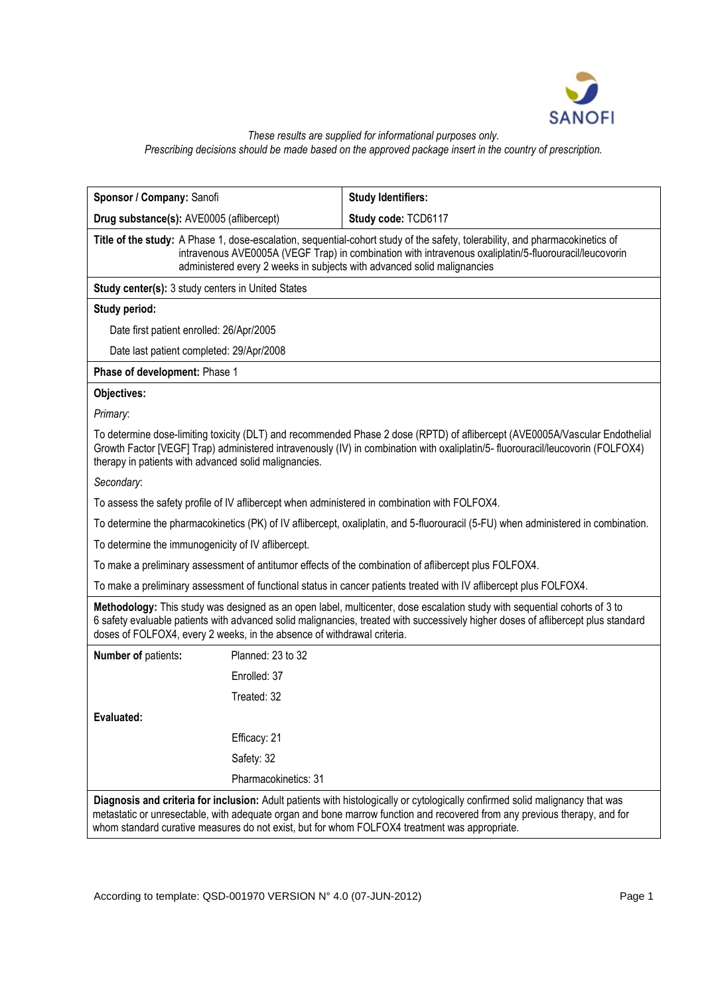

#### *These results are supplied for informational purposes only. Prescribing decisions should be made based on the approved package insert in the country of prescription.*

| Sponsor / Company: Sanofi                                                                                                                                                                                                                                                                                                                                   |                      | <b>Study Identifiers:</b> |
|-------------------------------------------------------------------------------------------------------------------------------------------------------------------------------------------------------------------------------------------------------------------------------------------------------------------------------------------------------------|----------------------|---------------------------|
| Drug substance(s): AVE0005 (aflibercept)                                                                                                                                                                                                                                                                                                                    |                      | Study code: TCD6117       |
| Title of the study: A Phase 1, dose-escalation, sequential-cohort study of the safety, tolerability, and pharmacokinetics of<br>intravenous AVE0005A (VEGF Trap) in combination with intravenous oxaliplatin/5-fluorouracil/leucovorin<br>administered every 2 weeks in subjects with advanced solid malignancies                                           |                      |                           |
| <b>Study center(s): 3 study centers in United States</b>                                                                                                                                                                                                                                                                                                    |                      |                           |
| Study period:                                                                                                                                                                                                                                                                                                                                               |                      |                           |
| Date first patient enrolled: 26/Apr/2005                                                                                                                                                                                                                                                                                                                    |                      |                           |
| Date last patient completed: 29/Apr/2008                                                                                                                                                                                                                                                                                                                    |                      |                           |
| Phase of development: Phase 1                                                                                                                                                                                                                                                                                                                               |                      |                           |
| Objectives:                                                                                                                                                                                                                                                                                                                                                 |                      |                           |
| Primary:                                                                                                                                                                                                                                                                                                                                                    |                      |                           |
| To determine dose-limiting toxicity (DLT) and recommended Phase 2 dose (RPTD) of aflibercept (AVE0005A/Vascular Endothelial<br>Growth Factor [VEGF] Trap) administered intravenously (IV) in combination with oxaliplatin/5-fluorouracil/leucovorin (FOLFOX4)<br>therapy in patients with advanced solid malignancies.                                      |                      |                           |
| Secondary:                                                                                                                                                                                                                                                                                                                                                  |                      |                           |
| To assess the safety profile of IV aflibercept when administered in combination with FOLFOX4.                                                                                                                                                                                                                                                               |                      |                           |
| To determine the pharmacokinetics (PK) of IV aflibercept, oxaliplatin, and 5-fluorouracil (5-FU) when administered in combination.                                                                                                                                                                                                                          |                      |                           |
| To determine the immunogenicity of IV aflibercept.                                                                                                                                                                                                                                                                                                          |                      |                           |
| To make a preliminary assessment of antitumor effects of the combination of aflibercept plus FOLFOX4.                                                                                                                                                                                                                                                       |                      |                           |
| To make a preliminary assessment of functional status in cancer patients treated with IV aflibercept plus FOLFOX4.                                                                                                                                                                                                                                          |                      |                           |
| Methodology: This study was designed as an open label, multicenter, dose escalation study with sequential cohorts of 3 to<br>6 safety evaluable patients with advanced solid malignancies, treated with successively higher doses of aflibercept plus standard<br>doses of FOLFOX4, every 2 weeks, in the absence of withdrawal criteria.                   |                      |                           |
| Number of patients:                                                                                                                                                                                                                                                                                                                                         | Planned: 23 to 32    |                           |
|                                                                                                                                                                                                                                                                                                                                                             | Enrolled: 37         |                           |
|                                                                                                                                                                                                                                                                                                                                                             | Treated: 32          |                           |
| Evaluated:                                                                                                                                                                                                                                                                                                                                                  |                      |                           |
|                                                                                                                                                                                                                                                                                                                                                             | Efficacy: 21         |                           |
|                                                                                                                                                                                                                                                                                                                                                             | Safety: 32           |                           |
|                                                                                                                                                                                                                                                                                                                                                             | Pharmacokinetics: 31 |                           |
| Diagnosis and criteria for inclusion: Adult patients with histologically or cytologically confirmed solid malignancy that was<br>metastatic or unresectable, with adequate organ and bone marrow function and recovered from any previous therapy, and for<br>whom standard curative measures do not exist, but for whom FOLFOX4 treatment was appropriate. |                      |                           |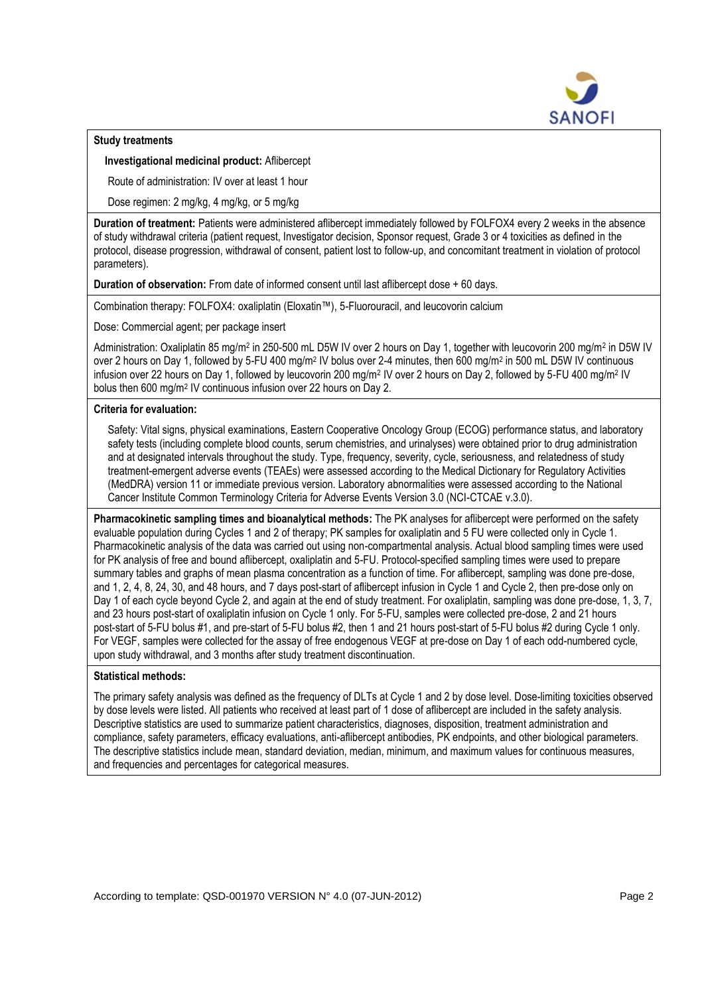

## **Study treatments**

**Investigational medicinal product:** Aflibercept

Route of administration: IV over at least 1 hour

Dose regimen: 2 mg/kg, 4 mg/kg, or 5 mg/kg

**Duration of treatment:** Patients were administered aflibercept immediately followed by FOLFOX4 every 2 weeks in the absence of study withdrawal criteria (patient request, Investigator decision, Sponsor request, Grade 3 or 4 toxicities as defined in the protocol, disease progression, withdrawal of consent, patient lost to follow-up, and concomitant treatment in violation of protocol parameters).

**Duration of observation:** From date of informed consent until last aflibercept dose + 60 days.

Combination therapy: FOLFOX4: oxaliplatin (Eloxatin™), 5-Fluorouracil, and leucovorin calcium

Dose: Commercial agent; per package insert

Administration: Oxaliplatin 85 mg/m<sup>2</sup> in 250-500 mL D5W IV over 2 hours on Day 1, together with leucovorin 200 mg/m<sup>2</sup> in D5W IV over 2 hours on Day 1, followed by 5-FU 400 mg/m<sup>2</sup> IV bolus over 2-4 minutes, then 600 mg/m<sup>2</sup> in 500 mL D5W IV continuous infusion over 22 hours on Day 1, followed by leucovorin 200 mg/m<sup>2</sup> IV over 2 hours on Day 2, followed by 5-FU 400 mg/m<sup>2</sup> IV bolus then 600 mg/m<sup>2</sup> IV continuous infusion over 22 hours on Day 2.

## **Criteria for evaluation:**

Safety: Vital signs, physical examinations, Eastern Cooperative Oncology Group (ECOG) performance status, and laboratory safety tests (including complete blood counts, serum chemistries, and urinalyses) were obtained prior to drug administration and at designated intervals throughout the study. Type, frequency, severity, cycle, seriousness, and relatedness of study treatment-emergent adverse events (TEAEs) were assessed according to the Medical Dictionary for Regulatory Activities (MedDRA) version 11 or immediate previous version. Laboratory abnormalities were assessed according to the National Cancer Institute Common Terminology Criteria for Adverse Events Version 3.0 (NCI-CTCAE v.3.0).

**Pharmacokinetic sampling times and bioanalytical methods:** The PK analyses for aflibercept were performed on the safety evaluable population during Cycles 1 and 2 of therapy; PK samples for oxaliplatin and 5 FU were collected only in Cycle 1. Pharmacokinetic analysis of the data was carried out using non-compartmental analysis. Actual blood sampling times were used for PK analysis of free and bound aflibercept, oxaliplatin and 5-FU. Protocol-specified sampling times were used to prepare summary tables and graphs of mean plasma concentration as a function of time. For aflibercept, sampling was done pre-dose, and 1, 2, 4, 8, 24, 30, and 48 hours, and 7 days post-start of aflibercept infusion in Cycle 1 and Cycle 2, then pre-dose only on Day 1 of each cycle beyond Cycle 2, and again at the end of study treatment. For oxaliplatin, sampling was done pre-dose, 1, 3, 7, and 23 hours post-start of oxaliplatin infusion on Cycle 1 only. For 5-FU, samples were collected pre-dose, 2 and 21 hours post-start of 5-FU bolus #1, and pre-start of 5-FU bolus #2, then 1 and 21 hours post-start of 5-FU bolus #2 during Cycle 1 only. For VEGF, samples were collected for the assay of free endogenous VEGF at pre-dose on Day 1 of each odd-numbered cycle, upon study withdrawal, and 3 months after study treatment discontinuation.

#### **Statistical methods:**

The primary safety analysis was defined as the frequency of DLTs at Cycle 1 and 2 by dose level. Dose-limiting toxicities observed by dose levels were listed. All patients who received at least part of 1 dose of aflibercept are included in the safety analysis. Descriptive statistics are used to summarize patient characteristics, diagnoses, disposition, treatment administration and compliance, safety parameters, efficacy evaluations, anti-aflibercept antibodies, PK endpoints, and other biological parameters. The descriptive statistics include mean, standard deviation, median, minimum, and maximum values for continuous measures, and frequencies and percentages for categorical measures.